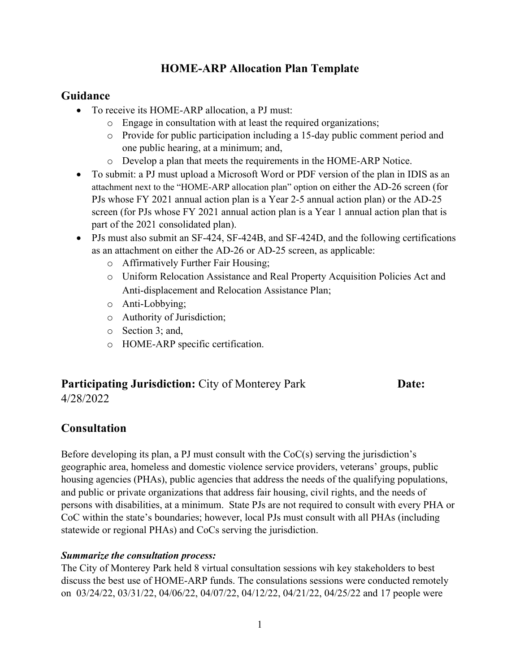# **HOME-ARP Allocation Plan Template**

## **Guidance**

- To receive its HOME-ARP allocation, a PJ must:
	- o Engage in consultation with at least the required organizations;
	- o Provide for public participation including a 15-day public comment period and one public hearing, at a minimum; and,
	- o Develop a plan that meets the requirements in the HOME-ARP Notice.
- To submit: a PJ must upload a Microsoft Word or PDF version of the plan in IDIS as an attachment next to the "HOME-ARP allocation plan" option on either the AD-26 screen (for PJs whose FY 2021 annual action plan is a Year 2-5 annual action plan) or the AD-25 screen (for PJs whose FY 2021 annual action plan is a Year 1 annual action plan that is part of the 2021 consolidated plan).
- PJs must also submit an SF-424, SF-424B, and SF-424D, and the following certifications as an attachment on either the AD-26 or AD-25 screen, as applicable:
	- o Affirmatively Further Fair Housing;
	- o Uniform Relocation Assistance and Real Property Acquisition Policies Act and Anti-displacement and Relocation Assistance Plan;
	- o Anti-Lobbying;
	- o Authority of Jurisdiction;
	- o Section 3; and,
	- o HOME-ARP specific certification.

## **Participating Jurisdiction:** City of Monterey Park **Date:** 4/28/2022

# **Consultation**

Before developing its plan, a PJ must consult with the CoC(s) serving the jurisdiction's geographic area, homeless and domestic violence service providers, veterans' groups, public housing agencies (PHAs), public agencies that address the needs of the qualifying populations, and public or private organizations that address fair housing, civil rights, and the needs of persons with disabilities, at a minimum. State PJs are not required to consult with every PHA or CoC within the state's boundaries; however, local PJs must consult with all PHAs (including statewide or regional PHAs) and CoCs serving the jurisdiction.

## *Summarize the consultation process:*

The City of Monterey Park held 8 virtual consultation sessions wih key stakeholders to best discuss the best use of HOME-ARP funds. The consulations sessions were conducted remotely on 03/24/22, 03/31/22, 04/06/22, 04/07/22, 04/12/22, 04/21/22, 04/25/22 and 17 people were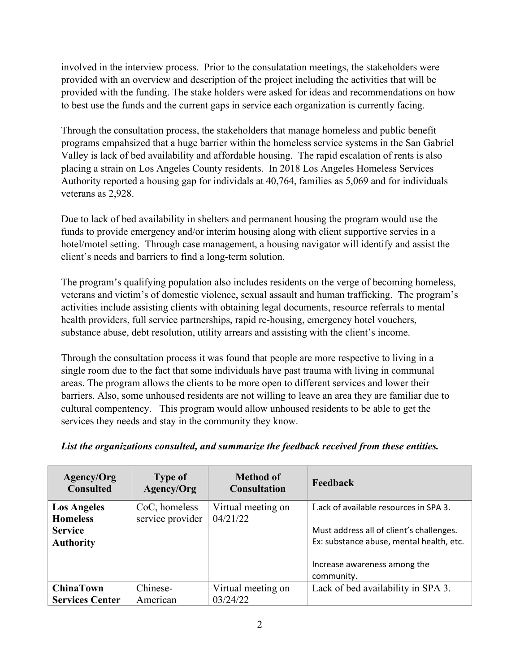involved in the interview process. Prior to the consulatation meetings, the stakeholders were provided with an overview and description of the project including the activities that will be provided with the funding. The stake holders were asked for ideas and recommendations on how to best use the funds and the current gaps in service each organization is currently facing.

Through the consultation process, the stakeholders that manage homeless and public benefit programs empahsized that a huge barrier within the homeless service systems in the San Gabriel Valley is lack of bed availability and affordable housing. The rapid escalation of rents is also placing a strain on Los Angeles County residents. In 2018 Los Angeles Homeless Services Authority reported a housing gap for individals at 40,764, families as 5,069 and for individuals veterans as 2,928.

Due to lack of bed availability in shelters and permanent housing the program would use the funds to provide emergency and/or interim housing along with client supportive servies in a hotel/motel setting. Through case management, a housing navigator will identify and assist the client's needs and barriers to find a long-term solution.

The program's qualifying population also includes residents on the verge of becoming homeless, veterans and victim's of domestic violence, sexual assault and human trafficking. The program's activities include assisting clients with obtaining legal documents, resource referrals to mental health providers, full service partnerships, rapid re-housing, emergency hotel vouchers, substance abuse, debt resolution, utility arrears and assisting with the client's income.

Through the consultation process it was found that people are more respective to living in a single room due to the fact that some individuals have past trauma with living in communal areas. The program allows the clients to be more open to different services and lower their barriers. Also, some unhoused residents are not willing to leave an area they are familiar due to cultural compentency. This program would allow unhoused residents to be able to get the services they needs and stay in the community they know.

| Agency/Org<br><b>Consulted</b>        | <b>Type of</b><br>Agency/Org      | <b>Method of</b><br><b>Consultation</b> | Feedback                                                                                                             |
|---------------------------------------|-----------------------------------|-----------------------------------------|----------------------------------------------------------------------------------------------------------------------|
| <b>Los Angeles</b><br><b>Homeless</b> | CoC, homeless<br>service provider | Virtual meeting on<br>04/21/22          | Lack of available resources in SPA 3.                                                                                |
| <b>Service</b><br><b>Authority</b>    |                                   |                                         | Must address all of client's challenges.<br>Ex: substance abuse, mental health, etc.<br>Increase awareness among the |
| <b>ChinaTown</b>                      | Chinese-                          | Virtual meeting on                      | community.<br>Lack of bed availability in SPA 3.                                                                     |
| <b>Services Center</b>                | American                          | 03/24/22                                |                                                                                                                      |

#### *List the organizations consulted, and summarize the feedback received from these entities.*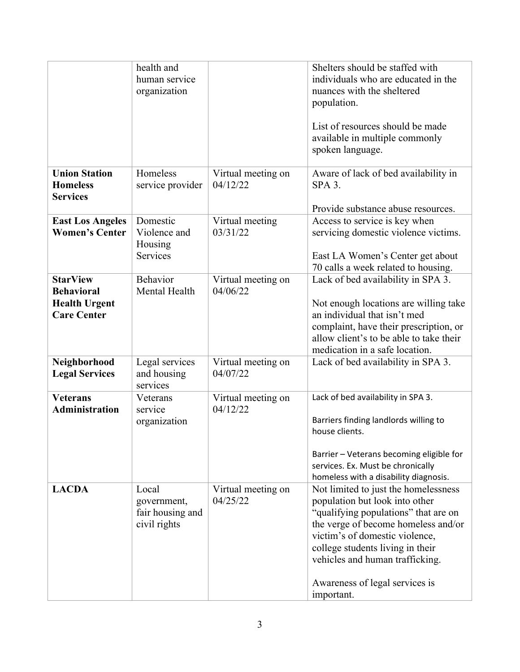|                                                                                    | health and<br>human service<br>organization              |                                | Shelters should be staffed with<br>individuals who are educated in the<br>nuances with the sheltered<br>population.<br>List of resources should be made<br>available in multiple commonly<br>spoken language.                                                                                                  |
|------------------------------------------------------------------------------------|----------------------------------------------------------|--------------------------------|----------------------------------------------------------------------------------------------------------------------------------------------------------------------------------------------------------------------------------------------------------------------------------------------------------------|
| <b>Union Station</b><br><b>Homeless</b><br><b>Services</b>                         | Homeless<br>service provider                             | Virtual meeting on<br>04/12/22 | Aware of lack of bed availability in<br>$SPA$ 3.<br>Provide substance abuse resources.                                                                                                                                                                                                                         |
| <b>East Los Angeles</b><br><b>Women's Center</b>                                   | Domestic<br>Violence and<br>Housing<br>Services          | Virtual meeting<br>03/31/22    | Access to service is key when<br>servicing domestic violence victims.<br>East LA Women's Center get about<br>70 calls a week related to housing.                                                                                                                                                               |
| <b>StarView</b><br><b>Behavioral</b><br><b>Health Urgent</b><br><b>Care Center</b> | Behavior<br>Mental Health                                | Virtual meeting on<br>04/06/22 | Lack of bed availability in SPA 3.<br>Not enough locations are willing take<br>an individual that isn't med<br>complaint, have their prescription, or<br>allow client's to be able to take their<br>medication in a safe location.                                                                             |
| Neighborhood<br><b>Legal Services</b>                                              | Legal services<br>and housing<br>services                | Virtual meeting on<br>04/07/22 | Lack of bed availability in SPA 3.                                                                                                                                                                                                                                                                             |
| <b>Veterans</b><br><b>Administration</b>                                           | Veterans<br>service<br>organization                      | Virtual meeting on<br>04/12/22 | Lack of bed availability in SPA 3.<br>Barriers finding landlords willing to<br>house clients.<br>Barrier - Veterans becoming eligible for<br>services. Ex. Must be chronically<br>homeless with a disability diagnosis.                                                                                        |
| <b>LACDA</b>                                                                       | Local<br>government,<br>fair housing and<br>civil rights | Virtual meeting on<br>04/25/22 | Not limited to just the homelessness<br>population but look into other<br>"qualifying populations" that are on<br>the verge of become homeless and/or<br>victim's of domestic violence,<br>college students living in their<br>vehicles and human trafficking.<br>Awareness of legal services is<br>important. |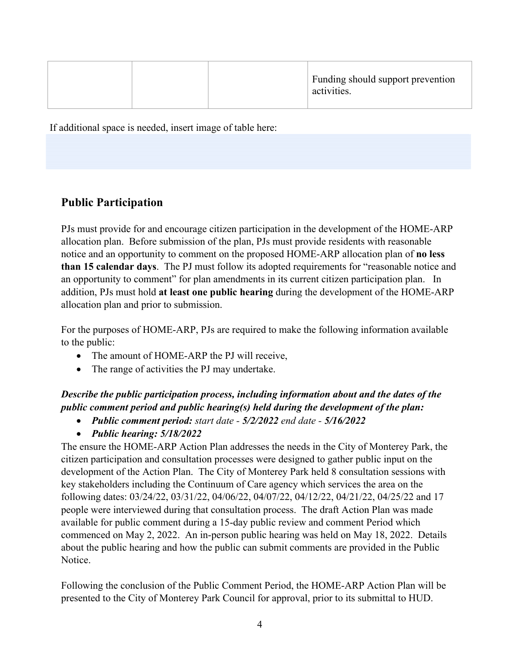| Funding should support prevention<br>activities. |
|--------------------------------------------------|
|--------------------------------------------------|

If additional space is needed, insert image of table here:

# **Public Participation**

PJs must provide for and encourage citizen participation in the development of the HOME-ARP allocation plan. Before submission of the plan, PJs must provide residents with reasonable notice and an opportunity to comment on the proposed HOME-ARP allocation plan of **no less than 15 calendar days**. The PJ must follow its adopted requirements for "reasonable notice and an opportunity to comment" for plan amendments in its current citizen participation plan. In addition, PJs must hold **at least one public hearing** during the development of the HOME-ARP allocation plan and prior to submission.

For the purposes of HOME-ARP, PJs are required to make the following information available to the public:

- The amount of HOME-ARP the PJ will receive,
- The range of activities the PJ may undertake.

# *Describe the public participation process, including information about and the dates of the public comment period and public hearing(s) held during the development of the plan:*

- *Public comment period: start date - 5/2/2022 end date - 5/16/2022*
- *Public hearing: 5/18/2022*

The ensure the HOME-ARP Action Plan addresses the needs in the City of Monterey Park, the citizen participation and consultation processes were designed to gather public input on the development of the Action Plan. The City of Monterey Park held 8 consultation sessions with key stakeholders including the Continuum of Care agency which services the area on the following dates: 03/24/22, 03/31/22, 04/06/22, 04/07/22, 04/12/22, 04/21/22, 04/25/22 and 17 people were interviewed during that consultation process. The draft Action Plan was made available for public comment during a 15-day public review and comment Period which commenced on May 2, 2022. An in-person public hearing was held on May 18, 2022. Details about the public hearing and how the public can submit comments are provided in the Public Notice.

Following the conclusion of the Public Comment Period, the HOME-ARP Action Plan will be presented to the City of Monterey Park Council for approval, prior to its submittal to HUD.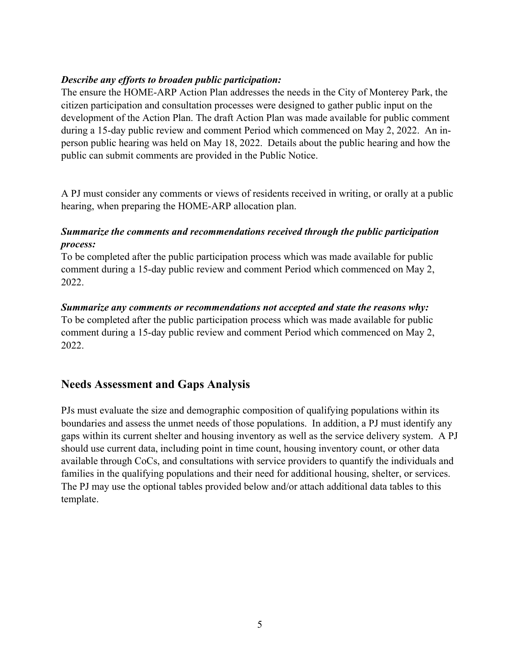#### *Describe any efforts to broaden public participation:*

The ensure the HOME-ARP Action Plan addresses the needs in the City of Monterey Park, the citizen participation and consultation processes were designed to gather public input on the development of the Action Plan. The draft Action Plan was made available for public comment during a 15-day public review and comment Period which commenced on May 2, 2022. An inperson public hearing was held on May 18, 2022. Details about the public hearing and how the public can submit comments are provided in the Public Notice.

A PJ must consider any comments or views of residents received in writing, or orally at a public hearing, when preparing the HOME-ARP allocation plan.

## *Summarize the comments and recommendations received through the public participation process:*

To be completed after the public participation process which was made available for public comment during a 15-day public review and comment Period which commenced on May 2, 2022.

#### *Summarize any comments or recommendations not accepted and state the reasons why:*

To be completed after the public participation process which was made available for public comment during a 15-day public review and comment Period which commenced on May 2, 2022.

## **Needs Assessment and Gaps Analysis**

PJs must evaluate the size and demographic composition of qualifying populations within its boundaries and assess the unmet needs of those populations. In addition, a PJ must identify any gaps within its current shelter and housing inventory as well as the service delivery system. A PJ should use current data, including point in time count, housing inventory count, or other data available through CoCs, and consultations with service providers to quantify the individuals and families in the qualifying populations and their need for additional housing, shelter, or services. The PJ may use the optional tables provided below and/or attach additional data tables to this template.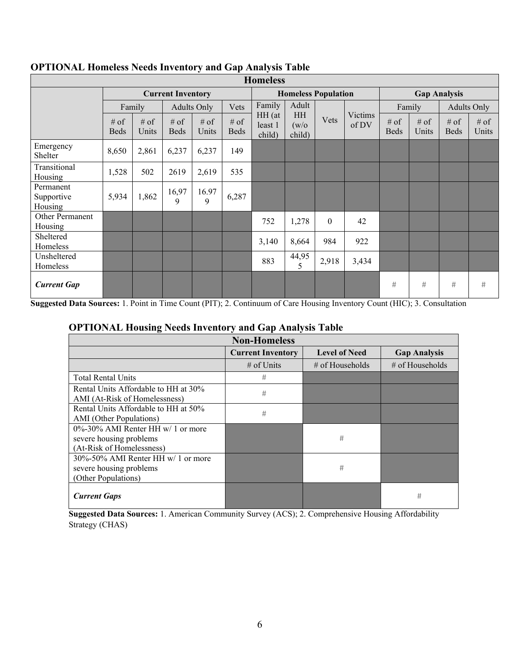| <b>Homeless</b>                    |                                                                                                                                     |                       |            |                  |                            |                 |                       |                     |       |        |   |                    |   |
|------------------------------------|-------------------------------------------------------------------------------------------------------------------------------------|-----------------------|------------|------------------|----------------------------|-----------------|-----------------------|---------------------|-------|--------|---|--------------------|---|
|                                    | <b>Current Inventory</b>                                                                                                            |                       |            |                  | <b>Homeless Population</b> |                 |                       | <b>Gap Analysis</b> |       |        |   |                    |   |
|                                    |                                                                                                                                     | Family                |            | Adults Only      | Vets                       | Family          | Adult                 |                     |       | Family |   | <b>Adults Only</b> |   |
|                                    | HH (at<br>$#$ of<br>$#$ of<br># of<br>$#$ of<br>$#$ of<br>least 1<br>Units<br><b>Beds</b><br>Beds<br>Units<br><b>Beds</b><br>child) | HH<br>(w/o)<br>child) | Vets       | Victims<br>of DV | $#$ of<br><b>Beds</b>      | $#$ of<br>Units | $#$ of<br><b>Beds</b> | $#$ of<br>Units     |       |        |   |                    |   |
| Emergency<br>Shelter               | 8,650                                                                                                                               | 2,861                 | 6,237      | 6,237            | 149                        |                 |                       |                     |       |        |   |                    |   |
| Transitional<br>Housing            | 1,528                                                                                                                               | 502                   | 2619       | 2,619            | 535                        |                 |                       |                     |       |        |   |                    |   |
| Permanent<br>Supportive<br>Housing | 5,934                                                                                                                               | 1,862                 | 16,97<br>9 | 16.97<br>9       | 6,287                      |                 |                       |                     |       |        |   |                    |   |
| Other Permanent<br>Housing         |                                                                                                                                     |                       |            |                  |                            | 752             | 1,278                 | $\theta$            | 42    |        |   |                    |   |
| Sheltered<br>Homeless              |                                                                                                                                     |                       |            |                  |                            | 3,140           | 8,664                 | 984                 | 922   |        |   |                    |   |
| Unsheltered<br>Homeless            |                                                                                                                                     |                       |            |                  |                            | 883             | 44,95<br>5            | 2,918               | 3,434 |        |   |                    |   |
| <b>Current Gap</b>                 |                                                                                                                                     |                       |            |                  |                            |                 |                       |                     |       | #      | # | #                  | # |

## **OPTIONAL Homeless Needs Inventory and Gap Analysis Table**

**Suggested Data Sources:** 1. Point in Time Count (PIT); 2. Continuum of Care Housing Inventory Count (HIC); 3. Consultation

#### **OPTIONAL Housing Needs Inventory and Gap Analysis Table**

| <b>Non-Homeless</b>                                                                       |                          |                      |                     |  |  |  |  |
|-------------------------------------------------------------------------------------------|--------------------------|----------------------|---------------------|--|--|--|--|
|                                                                                           | <b>Current Inventory</b> | <b>Level of Need</b> | <b>Gap Analysis</b> |  |  |  |  |
|                                                                                           | $#$ of Units             | $\#$ of Households   | $\#$ of Households  |  |  |  |  |
| <b>Total Rental Units</b>                                                                 | #                        |                      |                     |  |  |  |  |
| Rental Units Affordable to HH at 30%<br>AMI (At-Risk of Homelessness)                     | #                        |                      |                     |  |  |  |  |
| Rental Units Affordable to HH at 50%<br>AMI (Other Populations)                           | #                        |                      |                     |  |  |  |  |
| 0%-30% AMI Renter HH w/ 1 or more<br>severe housing problems<br>(At-Risk of Homelessness) |                          | #                    |                     |  |  |  |  |
| 30%-50% AMI Renter HH w/ 1 or more<br>severe housing problems<br>(Other Populations)      |                          | #                    |                     |  |  |  |  |
| <b>Current Gaps</b>                                                                       |                          |                      | #                   |  |  |  |  |

**Suggested Data Sources:** 1. American Community Survey (ACS); 2. Comprehensive Housing Affordability Strategy (CHAS)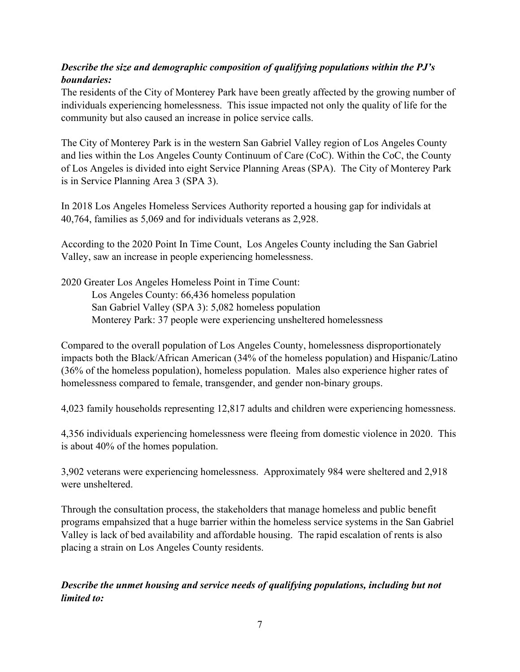## *Describe the size and demographic composition of qualifying populations within the PJ's boundaries:*

The residents of the City of Monterey Park have been greatly affected by the growing number of individuals experiencing homelessness. This issue impacted not only the quality of life for the community but also caused an increase in police service calls.

The City of Monterey Park is in the western San Gabriel Valley region of Los Angeles County and lies within the Los Angeles County Continuum of Care (CoC). Within the CoC, the County of Los Angeles is divided into eight Service Planning Areas (SPA). The City of Monterey Park is in Service Planning Area 3 (SPA 3).

In 2018 Los Angeles Homeless Services Authority reported a housing gap for individals at 40,764, families as 5,069 and for individuals veterans as 2,928.

According to the 2020 Point In Time Count, Los Angeles County including the San Gabriel Valley, saw an increase in people experiencing homelessness.

2020 Greater Los Angeles Homeless Point in Time Count: Los Angeles County: 66,436 homeless population San Gabriel Valley (SPA 3): 5,082 homeless population Monterey Park: 37 people were experiencing unsheltered homelessness

Compared to the overall population of Los Angeles County, homelessness disproportionately impacts both the Black/African American (34% of the homeless population) and Hispanic/Latino (36% of the homeless population), homeless population. Males also experience higher rates of homelessness compared to female, transgender, and gender non-binary groups.

4,023 family households representing 12,817 adults and children were experiencing homessness.

4,356 individuals experiencing homelessness were fleeing from domestic violence in 2020. This is about 40% of the homes population.

3,902 veterans were experiencing homelessness. Approximately 984 were sheltered and 2,918 were unsheltered.

Through the consultation process, the stakeholders that manage homeless and public benefit programs empahsized that a huge barrier within the homeless service systems in the San Gabriel Valley is lack of bed availability and affordable housing. The rapid escalation of rents is also placing a strain on Los Angeles County residents.

*Describe the unmet housing and service needs of qualifying populations, including but not limited to:*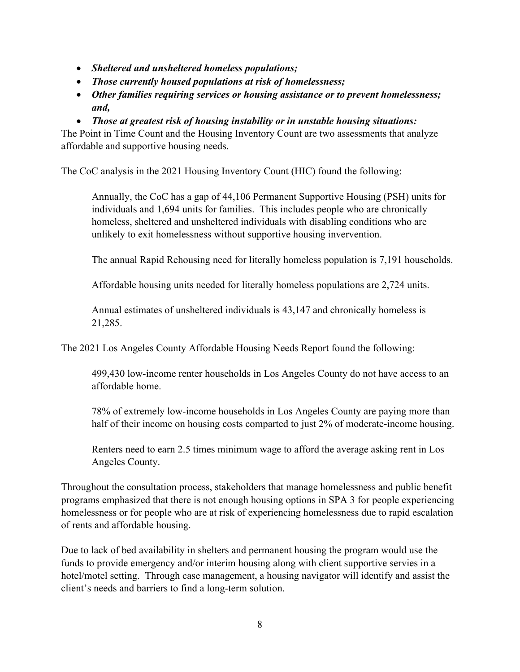- *Sheltered and unsheltered homeless populations;*
- *Those currently housed populations at risk of homelessness;*
- *Other families requiring services or housing assistance or to prevent homelessness; and,*
- *Those at greatest risk of housing instability or in unstable housing situations:*

The Point in Time Count and the Housing Inventory Count are two assessments that analyze affordable and supportive housing needs.

The CoC analysis in the 2021 Housing Inventory Count (HIC) found the following:

Annually, the CoC has a gap of 44,106 Permanent Supportive Housing (PSH) units for individuals and 1,694 units for families. This includes people who are chronically homeless, sheltered and unsheltered individuals with disabling conditions who are unlikely to exit homelessness without supportive housing invervention.

The annual Rapid Rehousing need for literally homeless population is 7,191 households.

Affordable housing units needed for literally homeless populations are 2,724 units.

Annual estimates of unsheltered individuals is 43,147 and chronically homeless is 21,285.

The 2021 Los Angeles County Affordable Housing Needs Report found the following:

499,430 low-income renter households in Los Angeles County do not have access to an affordable home.

78% of extremely low-income households in Los Angeles County are paying more than half of their income on housing costs comparted to just 2% of moderate-income housing.

Renters need to earn 2.5 times minimum wage to afford the average asking rent in Los Angeles County.

Throughout the consultation process, stakeholders that manage homelessness and public benefit programs emphasized that there is not enough housing options in SPA 3 for people experiencing homelessness or for people who are at risk of experiencing homelessness due to rapid escalation of rents and affordable housing.

Due to lack of bed availability in shelters and permanent housing the program would use the funds to provide emergency and/or interim housing along with client supportive servies in a hotel/motel setting. Through case management, a housing navigator will identify and assist the client's needs and barriers to find a long-term solution.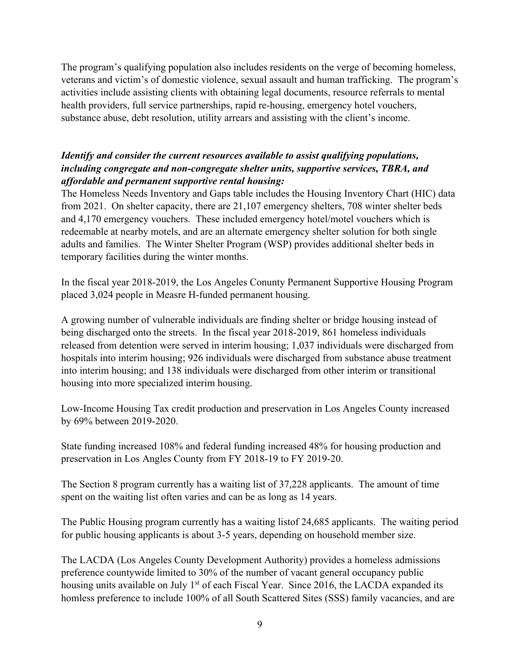The program's qualifying population also includes residents on the verge of becoming homeless, veterans and victim's of domestic violence, sexual assault and human trafficking. The program's activities include assisting clients with obtaining legal documents, resource referrals to mental health providers, full service partnerships, rapid re-housing, emergency hotel vouchers, substance abuse, debt resolution, utility arrears and assisting with the client's income.

#### *Identify and consider the current resources available to assist qualifying populations, including congregate and non-congregate shelter units, supportive services, TBRA, and affordable and permanent supportive rental housing:*

The Homeless Needs Inventory and Gaps table includes the Housing Inventory Chart (HIC) data from 2021. On shelter capacity, there are 21,107 emergency shelters, 708 winter shelter beds and 4,170 emergency vouchers. These included emergency hotel/motel vouchers which is redeemable at nearby motels, and are an alternate emergency shelter solution for both single adults and families. The Winter Shelter Program (WSP) provides additional shelter beds in temporary facilities during the winter months.

In the fiscal year 2018-2019, the Los Angeles Conunty Permanent Supportive Housing Program placed 3,024 people in Measre H-funded permanent housing.

A growing number of vulnerable individuals are finding shelter or bridge housing instead of being discharged onto the streets. In the fiscal year 2018-2019, 861 homeless individuals released from detention were served in interim housing; 1,037 individuals were discharged from hospitals into interim housing; 926 individuals were discharged from substance abuse treatment into interim housing; and 138 individuals were discharged from other interim or transitional housing into more specialized interim housing.

Low-Income Housing Tax credit production and preservation in Los Angeles County increased by 69% between 2019-2020.

State funding increased 108% and federal funding increased 48% for housing production and preservation in Los Angles County from FY 2018-19 to FY 2019-20.

The Section 8 program currently has a waiting list of 37,228 applicants. The amount of time spent on the waiting list often varies and can be as long as 14 years.

The Public Housing program currently has a waiting listof 24,685 applicants. The waiting period for public housing applicants is about 3-5 years, depending on household member size.

The LACDA (Los Angeles County Development Authority) provides a homeless admissions preference countywide limited to 30% of the number of vacant general occupancy public housing units available on July  $1<sup>st</sup>$  of each Fiscal Year. Since 2016, the LACDA expanded its homless preference to include 100% of all South Scattered Sites (SSS) family vacancies, and are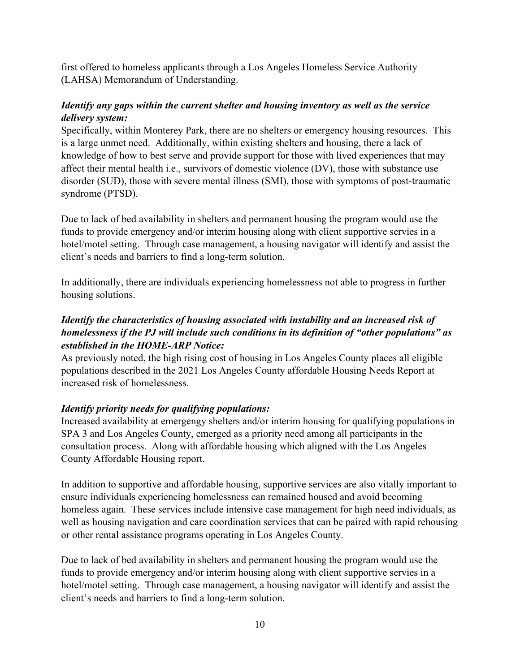first offered to homeless applicants through a Los Angeles Homeless Service Authority (LAHSA) Memorandum of Understanding.

#### *Identify any gaps within the current shelter and housing inventory as well as the service delivery system:*

Specifically, within Monterey Park, there are no shelters or emergency housing resources. This is a large unmet need. Additionally, within existing shelters and housing, there a lack of knowledge of how to best serve and provide support for those with lived experiences that may affect their mental health i.e., survivors of domestic violence (DV), those with substance use disorder (SUD), those with severe mental illness (SMI), those with symptoms of post-traumatic syndrome (PTSD).

Due to lack of bed availability in shelters and permanent housing the program would use the funds to provide emergency and/or interim housing along with client supportive servies in a hotel/motel setting. Through case management, a housing navigator will identify and assist the client's needs and barriers to find a long-term solution.

In additionally, there are individuals experiencing homelessness not able to progress in further housing solutions.

## *Identify the characteristics of housing associated with instability and an increased risk of homelessness if the PJ will include such conditions in its definition of "other populations" as established in the HOME-ARP Notice:*

As previously noted, the high rising cost of housing in Los Angeles County places all eligible populations described in the 2021 Los Angeles County affordable Housing Needs Report at increased risk of homelessness.

## *Identify priority needs for qualifying populations:*

Increased availability at emergengy shelters and/or interim housing for qualifying populations in SPA 3 and Los Angeles County, emerged as a priority need among all participants in the consultation process. Along with affordable housing which aligned with the Los Angeles County Affordable Housing report.

In addition to supportive and affordable housing, supportive services are also vitally important to ensure individuals experiencing homelessness can remained housed and avoid becoming homeless again. These services include intensive case management for high need individuals, as well as housing navigation and care coordination services that can be paired with rapid rehousing or other rental assistance programs operating in Los Angeles County.

Due to lack of bed availability in shelters and permanent housing the program would use the funds to provide emergency and/or interim housing along with client supportive servies in a hotel/motel setting. Through case management, a housing navigator will identify and assist the client's needs and barriers to find a long-term solution.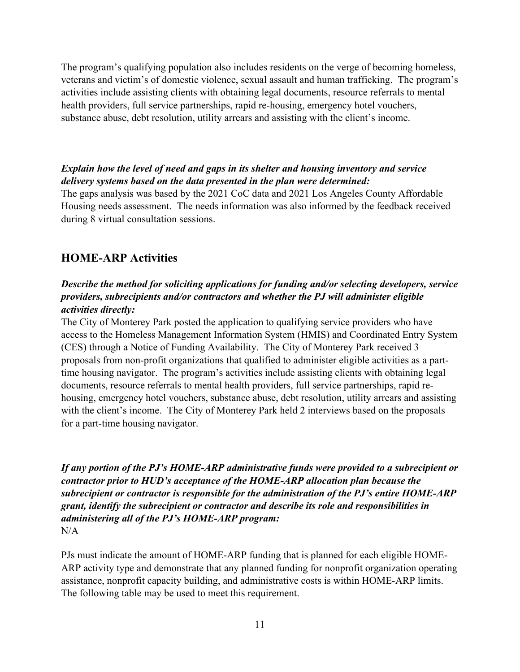The program's qualifying population also includes residents on the verge of becoming homeless, veterans and victim's of domestic violence, sexual assault and human trafficking. The program's activities include assisting clients with obtaining legal documents, resource referrals to mental health providers, full service partnerships, rapid re-housing, emergency hotel vouchers, substance abuse, debt resolution, utility arrears and assisting with the client's income.

#### *Explain how the level of need and gaps in its shelter and housing inventory and service delivery systems based on the data presented in the plan were determined:*

The gaps analysis was based by the 2021 CoC data and 2021 Los Angeles County Affordable Housing needs assessment. The needs information was also informed by the feedback received during 8 virtual consultation sessions.

# **HOME-ARP Activities**

#### *Describe the method for soliciting applications for funding and/or selecting developers, service providers, subrecipients and/or contractors and whether the PJ will administer eligible activities directly:*

The City of Monterey Park posted the application to qualifying service providers who have access to the Homeless Management Information System (HMIS) and Coordinated Entry System (CES) through a Notice of Funding Availability. The City of Monterey Park received 3 proposals from non-profit organizations that qualified to administer eligible activities as a parttime housing navigator. The program's activities include assisting clients with obtaining legal documents, resource referrals to mental health providers, full service partnerships, rapid rehousing, emergency hotel vouchers, substance abuse, debt resolution, utility arrears and assisting with the client's income. The City of Monterey Park held 2 interviews based on the proposals for a part-time housing navigator.

*If any portion of the PJ's HOME-ARP administrative funds were provided to a subrecipient or contractor prior to HUD's acceptance of the HOME-ARP allocation plan because the subrecipient or contractor is responsible for the administration of the PJ's entire HOME-ARP grant, identify the subrecipient or contractor and describe its role and responsibilities in administering all of the PJ's HOME-ARP program:*  $N/A$ 

PJs must indicate the amount of HOME-ARP funding that is planned for each eligible HOME-ARP activity type and demonstrate that any planned funding for nonprofit organization operating assistance, nonprofit capacity building, and administrative costs is within HOME-ARP limits. The following table may be used to meet this requirement.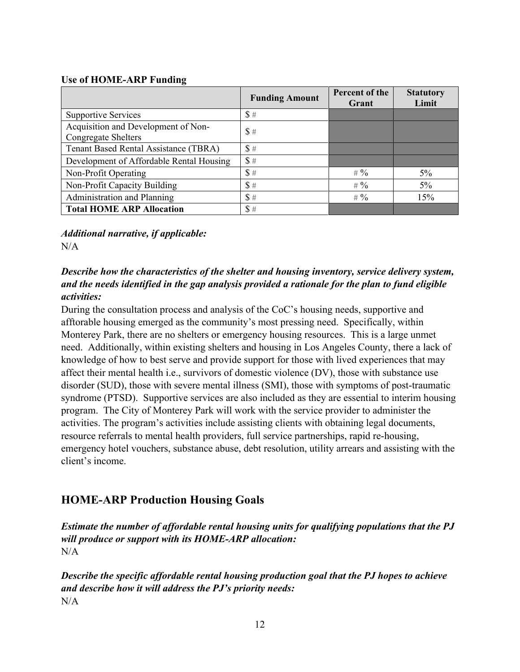#### **Use of HOME-ARP Funding**

|                                                                   | <b>Funding Amount</b> | Percent of the<br>Grant | <b>Statutory</b><br>Limit |
|-------------------------------------------------------------------|-----------------------|-------------------------|---------------------------|
| <b>Supportive Services</b>                                        | \$#                   |                         |                           |
| Acquisition and Development of Non-<br><b>Congregate Shelters</b> | \$#                   |                         |                           |
| Tenant Based Rental Assistance (TBRA)                             | \$#                   |                         |                           |
| Development of Affordable Rental Housing                          | \$#                   |                         |                           |
| Non-Profit Operating                                              | \$#                   | # $\%$                  | $5\%$                     |
| Non-Profit Capacity Building                                      | \$  #                 | # $\%$                  | $5\%$                     |
| Administration and Planning                                       | \$#                   | # $\%$                  | 15%                       |
| <b>Total HOME ARP Allocation</b>                                  | \$  #                 |                         |                           |

*Additional narrative, if applicable:*   $N/A$ 

## *Describe how the characteristics of the shelter and housing inventory, service delivery system, and the needs identified in the gap analysis provided a rationale for the plan to fund eligible activities:*

During the consultation process and analysis of the CoC's housing needs, supportive and afftorable housing emerged as the community's most pressing need. Specifically, within Monterey Park, there are no shelters or emergency housing resources. This is a large unmet need. Additionally, within existing shelters and housing in Los Angeles County, there a lack of knowledge of how to best serve and provide support for those with lived experiences that may affect their mental health i.e., survivors of domestic violence (DV), those with substance use disorder (SUD), those with severe mental illness (SMI), those with symptoms of post-traumatic syndrome (PTSD). Supportive services are also included as they are essential to interim housing program. The City of Monterey Park will work with the service provider to administer the activities. The program's activities include assisting clients with obtaining legal documents, resource referrals to mental health providers, full service partnerships, rapid re-housing, emergency hotel vouchers, substance abuse, debt resolution, utility arrears and assisting with the client's income.

# **HOME-ARP Production Housing Goals**

*Estimate the number of affordable rental housing units for qualifying populations that the PJ will produce or support with its HOME-ARP allocation:*  N/A

*Describe the specific affordable rental housing production goal that the PJ hopes to achieve and describe how it will address the PJ's priority needs:* N/A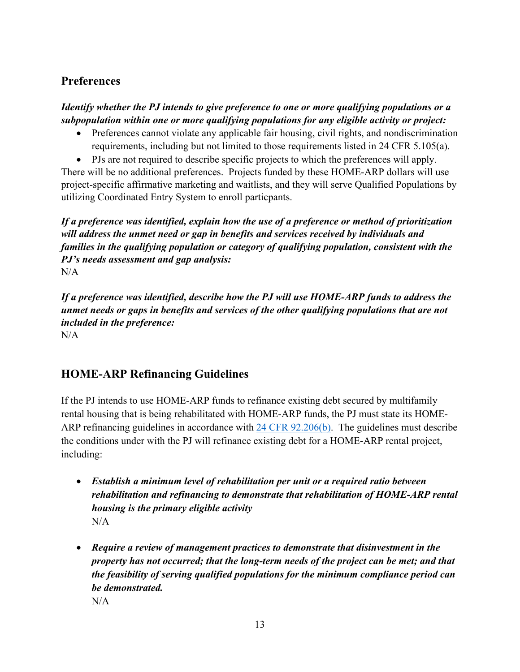# **Preferences**

*Identify whether the PJ intends to give preference to one or more qualifying populations or a subpopulation within one or more qualifying populations for any eligible activity or project:*

- Preferences cannot violate any applicable fair housing, civil rights, and nondiscrimination requirements, including but not limited to those requirements listed in 24 CFR 5.105(a).
- PJs are not required to describe specific projects to which the preferences will apply.

There will be no additional preferences. Projects funded by these HOME-ARP dollars will use project-specific affirmative marketing and waitlists, and they will serve Qualified Populations by utilizing Coordinated Entry System to enroll particpants.

*If a preference was identified, explain how the use of a preference or method of prioritization will address the unmet need or gap in benefits and services received by individuals and families in the qualifying population or category of qualifying population, consistent with the PJ's needs assessment and gap analysis:* N/A

*If a preference was identified, describe how the PJ will use HOME-ARP funds to address the unmet needs or gaps in benefits and services of the other qualifying populations that are not included in the preference:* N/A

# **HOME-ARP Refinancing Guidelines**

If the PJ intends to use HOME-ARP funds to refinance existing debt secured by multifamily rental housing that is being rehabilitated with HOME-ARP funds, the PJ must state its HOME-ARP refinancing guidelines in accordance with [24 CFR 92.206\(b\).](https://www.ecfr.gov/cgi-bin/text-idx?SID=273620a3dcadf1c5e247ef949a4fd87c&mc=true&node=se24.1.92_1206&rgn=div8) The guidelines must describe the conditions under with the PJ will refinance existing debt for a HOME-ARP rental project, including:

- *Establish a minimum level of rehabilitation per unit or a required ratio between rehabilitation and refinancing to demonstrate that rehabilitation of HOME-ARP rental housing is the primary eligible activity*  N/A
- *Require a review of management practices to demonstrate that disinvestment in the property has not occurred; that the long-term needs of the project can be met; and that the feasibility of serving qualified populations for the minimum compliance period can be demonstrated.*  $N/A$